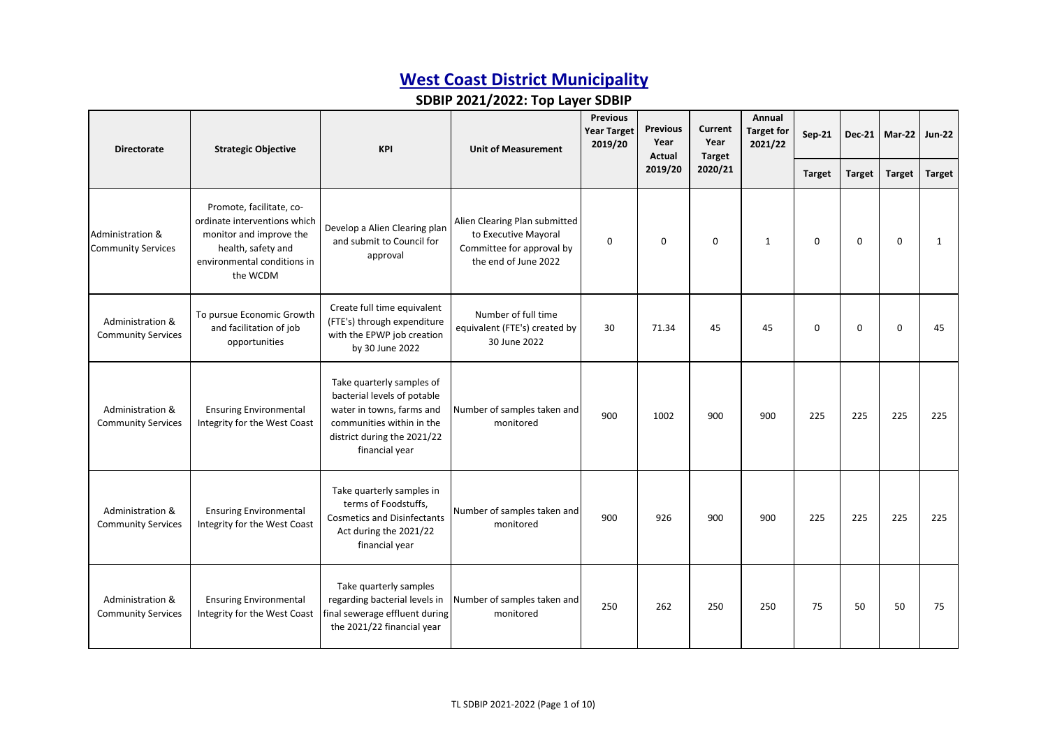| <b>Directorate</b>                                       | <b>Strategic Objective</b>                                                                                                                           | <b>KPI</b>                                                                                                                                                          | <b>Unit of Measurement</b>                                                                                 | <b>Previous</b><br><b>Year Target</b><br>2019/20 | <b>Previous</b><br>Current<br>Year<br>Year<br>Actual<br><b>Target</b> |             | Annual<br><b>Target for</b><br>2021/22 | <b>Sep-21</b> | <b>Dec-21</b> | Mar-22        | <b>Jun-22</b> |
|----------------------------------------------------------|------------------------------------------------------------------------------------------------------------------------------------------------------|---------------------------------------------------------------------------------------------------------------------------------------------------------------------|------------------------------------------------------------------------------------------------------------|--------------------------------------------------|-----------------------------------------------------------------------|-------------|----------------------------------------|---------------|---------------|---------------|---------------|
|                                                          |                                                                                                                                                      |                                                                                                                                                                     |                                                                                                            |                                                  | 2019/20                                                               | 2020/21     |                                        | <b>Target</b> | <b>Target</b> | <b>Target</b> | <b>Target</b> |
| <b>Administration &amp;</b><br><b>Community Services</b> | Promote, facilitate, co-<br>ordinate interventions which<br>monitor and improve the<br>health, safety and<br>environmental conditions in<br>the WCDM | Develop a Alien Clearing plan<br>and submit to Council for<br>approval                                                                                              | Alien Clearing Plan submitted<br>to Executive Mayoral<br>Committee for approval by<br>the end of June 2022 | $\Omega$                                         | $\mathbf 0$                                                           | $\mathbf 0$ | $\mathbf{1}$                           | $\Omega$      | $\mathbf 0$   | $\Omega$      | $\mathbf{1}$  |
| Administration &<br><b>Community Services</b>            | To pursue Economic Growth<br>and facilitation of job<br>opportunities                                                                                | Create full time equivalent<br>(FTE's) through expenditure<br>with the EPWP job creation<br>by 30 June 2022                                                         | Number of full time<br>equivalent (FTE's) created by<br>30 June 2022                                       | 30                                               | 71.34                                                                 | 45          | 45                                     | $\Omega$      | $\Omega$      | $\Omega$      | 45            |
| Administration &<br><b>Community Services</b>            | <b>Ensuring Environmental</b><br>Integrity for the West Coast                                                                                        | Take quarterly samples of<br>bacterial levels of potable<br>water in towns, farms and<br>communities within in the<br>district during the 2021/22<br>financial year | Number of samples taken and<br>monitored                                                                   | 900                                              | 1002                                                                  | 900         | 900                                    | 225           | 225           | 225           | 225           |
| Administration &<br><b>Community Services</b>            | <b>Ensuring Environmental</b><br>Integrity for the West Coast                                                                                        | Take quarterly samples in<br>terms of Foodstuffs,<br><b>Cosmetics and Disinfectants</b><br>Act during the 2021/22<br>financial year                                 | Number of samples taken and<br>monitored                                                                   | 900                                              | 926                                                                   | 900         | 900                                    | 225           | 225           | 225           | 225           |
| Administration &<br><b>Community Services</b>            | <b>Ensuring Environmental</b><br>Integrity for the West Coast                                                                                        | Take quarterly samples<br>regarding bacterial levels in<br>final sewerage effluent during<br>the 2021/22 financial year                                             | Number of samples taken and<br>monitored                                                                   | 250                                              | 262                                                                   | 250         | 250                                    | 75            | 50            | 50            | 75            |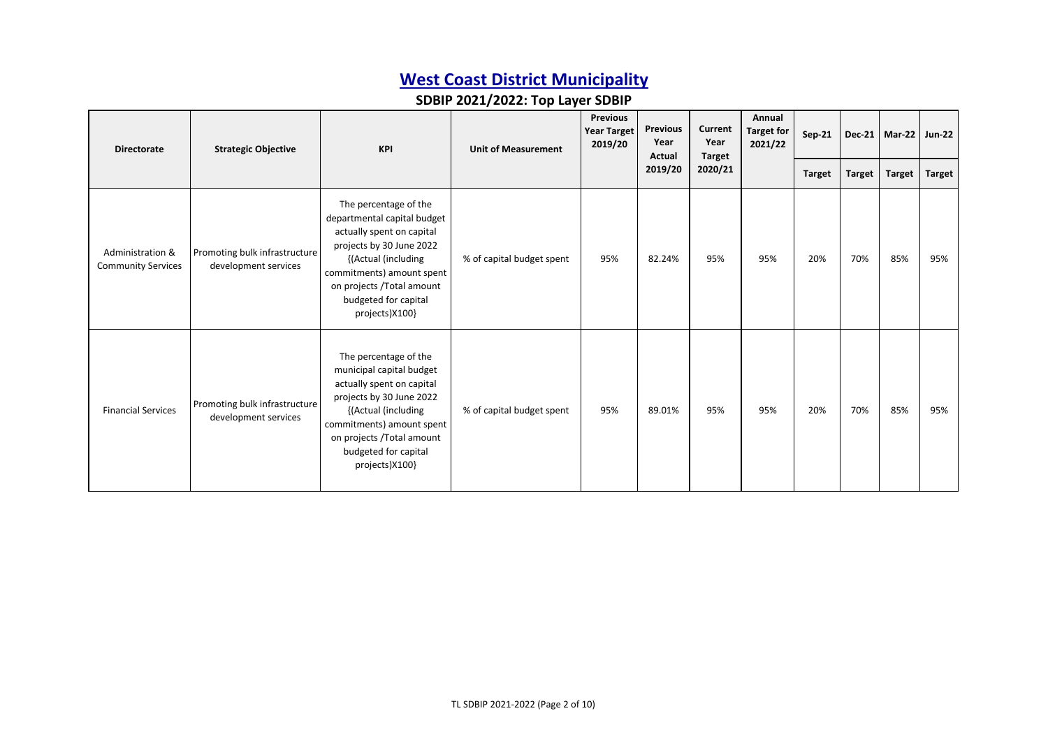| <b>Directorate</b>                            | <b>Strategic Objective</b>                            | <b>KPI</b>                                                                                                                                                                                                                               | <b>Unit of Measurement</b> | <b>Previous</b><br><b>Year Target</b><br>2019/20 |                   | <b>Previous</b><br>Current<br>Year<br><b>Target</b> | Annual<br><b>Target for</b><br>2021/22 | Sep-21        |               | Dec-21   Mar-22   Jun-22 |               |
|-----------------------------------------------|-------------------------------------------------------|------------------------------------------------------------------------------------------------------------------------------------------------------------------------------------------------------------------------------------------|----------------------------|--------------------------------------------------|-------------------|-----------------------------------------------------|----------------------------------------|---------------|---------------|--------------------------|---------------|
|                                               |                                                       |                                                                                                                                                                                                                                          |                            |                                                  | Actual<br>2019/20 | 2020/21                                             |                                        | <b>Target</b> | <b>Target</b> | <b>Target</b>            | <b>Target</b> |
| Administration &<br><b>Community Services</b> | Promoting bulk infrastructure<br>development services | The percentage of the<br>departmental capital budget<br>actually spent on capital<br>projects by 30 June 2022<br>{(Actual (including<br>commitments) amount spent<br>on projects /Total amount<br>budgeted for capital<br>projects)X100} | % of capital budget spent  | 95%                                              | 82.24%            | 95%                                                 | 95%                                    | 20%           | 70%           | 85%                      | 95%           |
| <b>Financial Services</b>                     | Promoting bulk infrastructure<br>development services | The percentage of the<br>municipal capital budget<br>actually spent on capital<br>projects by 30 June 2022<br>{(Actual (including<br>commitments) amount spent<br>on projects /Total amount<br>budgeted for capital<br>projects)X100}    | % of capital budget spent  | 95%                                              | 89.01%            | 95%                                                 | 95%                                    | 20%           | 70%           | 85%                      | 95%           |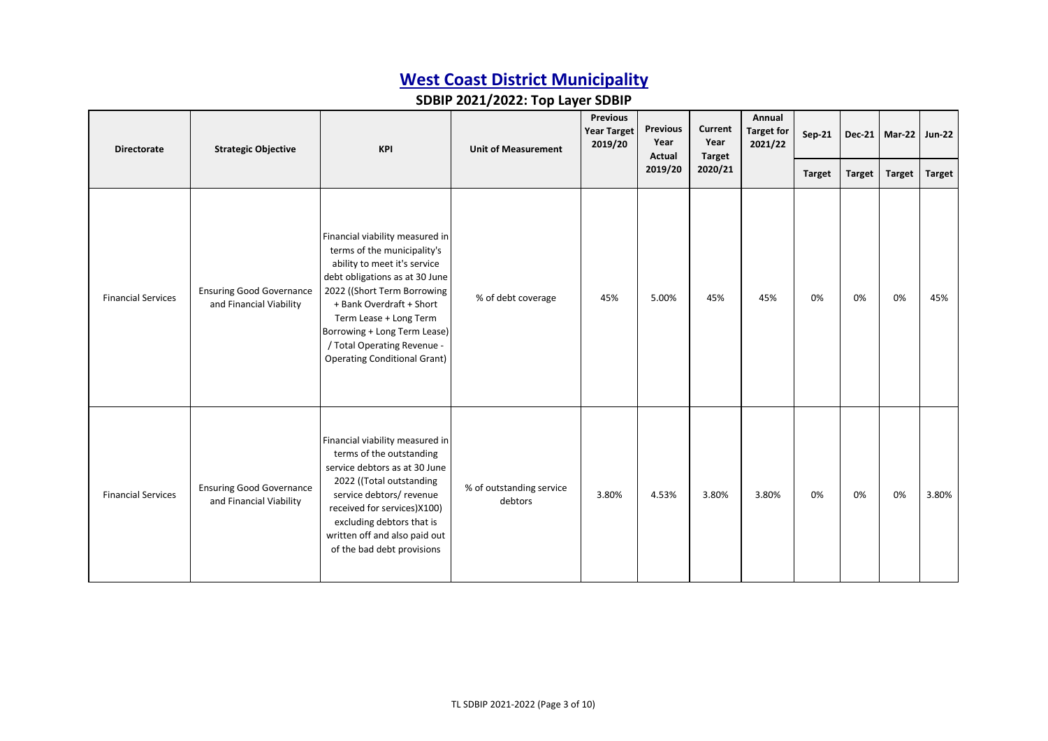| <b>Directorate</b>        | <b>Strategic Objective</b>                                 | <b>KPI</b>                                                                                                                                                                                                                                                                                                                  | <b>Unit of Measurement</b>          | <b>Year Target</b><br>2019/20 | Year<br>Actual | <b>Previous</b> |       |               |               |               |               | <b>Previous</b><br>Current<br>Year<br><b>Target</b> |  | Annual<br><b>Target for</b><br>2021/22 | <b>Sep-21</b> |  | Dec-21   Mar-22 | <b>Jun-22</b> |
|---------------------------|------------------------------------------------------------|-----------------------------------------------------------------------------------------------------------------------------------------------------------------------------------------------------------------------------------------------------------------------------------------------------------------------------|-------------------------------------|-------------------------------|----------------|-----------------|-------|---------------|---------------|---------------|---------------|-----------------------------------------------------|--|----------------------------------------|---------------|--|-----------------|---------------|
|                           |                                                            |                                                                                                                                                                                                                                                                                                                             |                                     |                               | 2019/20        | 2020/21         |       | <b>Target</b> | <b>Target</b> | <b>Target</b> | <b>Target</b> |                                                     |  |                                        |               |  |                 |               |
| <b>Financial Services</b> | <b>Ensuring Good Governance</b><br>and Financial Viability | Financial viability measured in<br>terms of the municipality's<br>ability to meet it's service<br>debt obligations as at 30 June<br>2022 ((Short Term Borrowing<br>+ Bank Overdraft + Short<br>Term Lease + Long Term<br>Borrowing + Long Term Lease)<br>/ Total Operating Revenue -<br><b>Operating Conditional Grant)</b> | % of debt coverage                  | 45%                           | 5.00%          | 45%             | 45%   | 0%            | 0%            | 0%            | 45%           |                                                     |  |                                        |               |  |                 |               |
| <b>Financial Services</b> | <b>Ensuring Good Governance</b><br>and Financial Viability | Financial viability measured in<br>terms of the outstanding<br>service debtors as at 30 June<br>2022 ((Total outstanding<br>service debtors/ revenue<br>received for services)X100)<br>excluding debtors that is<br>written off and also paid out<br>of the bad debt provisions                                             | % of outstanding service<br>debtors | 3.80%                         | 4.53%          | 3.80%           | 3.80% | 0%            | 0%            | 0%            | 3.80%         |                                                     |  |                                        |               |  |                 |               |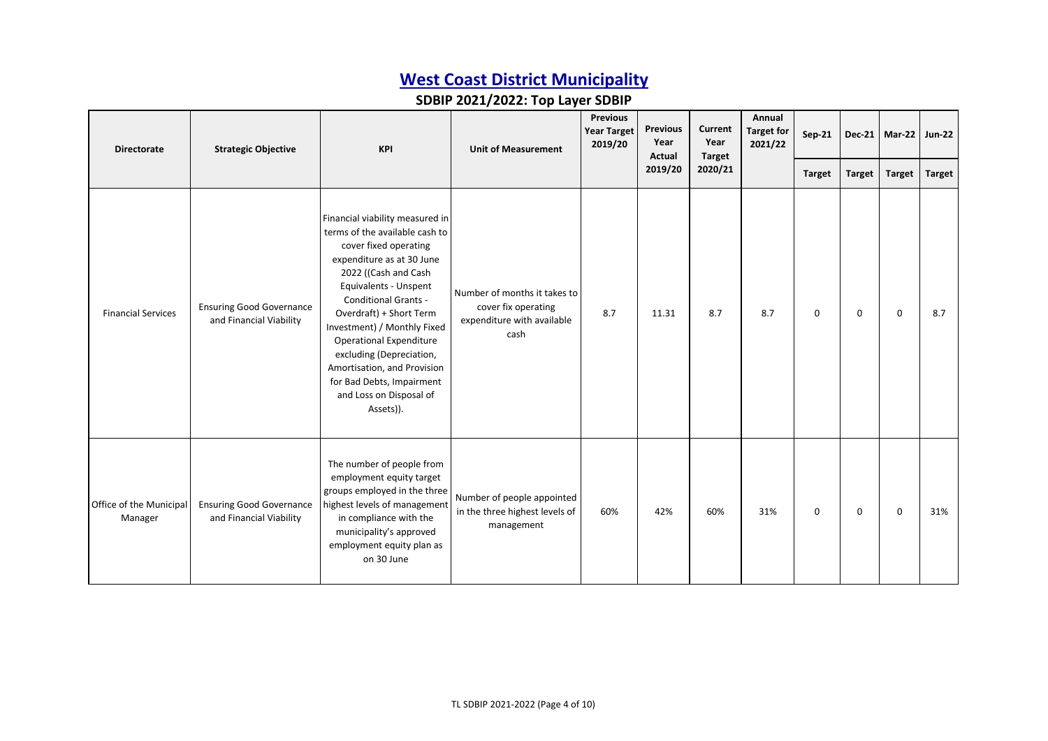| <b>Directorate</b>                 | <b>Strategic Objective</b>                                 | <b>KPI</b>                                                                                                                                                                                                                                                                                                                                                                                                                          | <b>Unit of Measurement</b>                                                                | <b>Previous</b><br><b>Year Target</b><br>2019/20 |         | <b>Previous</b><br>Year<br>Actual |     |               | Current<br>Year<br><b>Target</b> | Annual<br><b>Target for</b><br>2021/22 | Sep-21 |  | Dec-21   Mar-22   Jun-22 |  |
|------------------------------------|------------------------------------------------------------|-------------------------------------------------------------------------------------------------------------------------------------------------------------------------------------------------------------------------------------------------------------------------------------------------------------------------------------------------------------------------------------------------------------------------------------|-------------------------------------------------------------------------------------------|--------------------------------------------------|---------|-----------------------------------|-----|---------------|----------------------------------|----------------------------------------|--------|--|--------------------------|--|
|                                    |                                                            |                                                                                                                                                                                                                                                                                                                                                                                                                                     |                                                                                           |                                                  | 2019/20 | 2020/21                           |     | <b>Target</b> | <b>Target</b>                    | <b>Target</b>                          | Target |  |                          |  |
| <b>Financial Services</b>          | <b>Ensuring Good Governance</b><br>and Financial Viability | Financial viability measured in<br>terms of the available cash to<br>cover fixed operating<br>expenditure as at 30 June<br>2022 ((Cash and Cash<br>Equivalents - Unspent<br><b>Conditional Grants -</b><br>Overdraft) + Short Term<br>Investment) / Monthly Fixed<br><b>Operational Expenditure</b><br>excluding (Depreciation,<br>Amortisation, and Provision<br>for Bad Debts, Impairment<br>and Loss on Disposal of<br>Assets)). | Number of months it takes to<br>cover fix operating<br>expenditure with available<br>cash | 8.7                                              | 11.31   | 8.7                               | 8.7 | $\Omega$      | $\mathbf 0$                      | $\Omega$                               | 8.7    |  |                          |  |
| Office of the Municipal<br>Manager | <b>Ensuring Good Governance</b><br>and Financial Viability | The number of people from<br>employment equity target<br>groups employed in the three<br>highest levels of management<br>in compliance with the<br>municipality's approved<br>employment equity plan as<br>on 30 June                                                                                                                                                                                                               | Number of people appointed<br>in the three highest levels of<br>management                | 60%                                              | 42%     | 60%                               | 31% | $\Omega$      | 0                                | 0                                      | 31%    |  |                          |  |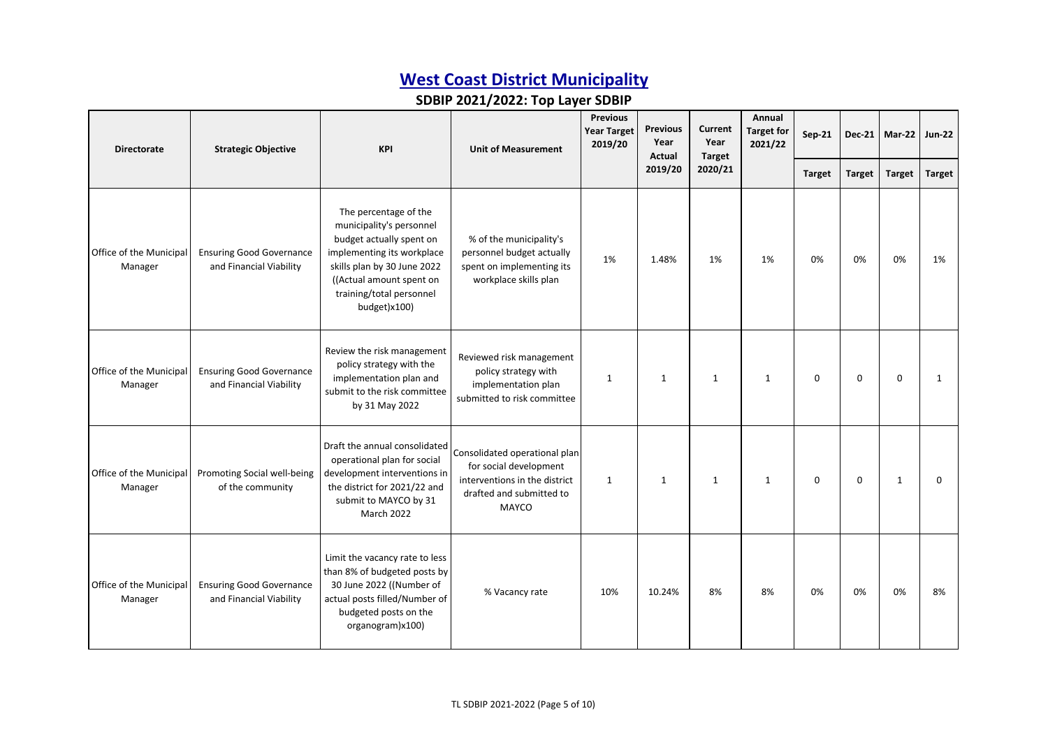| <b>Directorate</b>                 | <b>Strategic Objective</b>                                 | <b>KPI</b>                                                                                                                                                                                                         | <b>Unit of Measurement</b>                                                                                                    | <b>Previous</b><br><b>Previous</b><br><b>Year Target</b><br>Year<br>2019/20<br>Actual |              | Current<br>Year<br>Target | Annual<br><b>Target for</b><br>2021/22 | Sep-21        |               | Dec-21 $Mar-22$ | <b>Jun-22</b> |
|------------------------------------|------------------------------------------------------------|--------------------------------------------------------------------------------------------------------------------------------------------------------------------------------------------------------------------|-------------------------------------------------------------------------------------------------------------------------------|---------------------------------------------------------------------------------------|--------------|---------------------------|----------------------------------------|---------------|---------------|-----------------|---------------|
|                                    |                                                            |                                                                                                                                                                                                                    |                                                                                                                               |                                                                                       | 2019/20      | 2020/21                   |                                        | <b>Target</b> | <b>Target</b> | <b>Target</b>   | <b>Target</b> |
| Office of the Municipal<br>Manager | <b>Ensuring Good Governance</b><br>and Financial Viability | The percentage of the<br>municipality's personnel<br>budget actually spent on<br>implementing its workplace<br>skills plan by 30 June 2022<br>((Actual amount spent on<br>training/total personnel<br>budget)x100) | % of the municipality's<br>personnel budget actually<br>spent on implementing its<br>workplace skills plan                    | 1%                                                                                    | 1.48%        | 1%                        | 1%                                     | 0%            | 0%            | 0%              | 1%            |
| Office of the Municipal<br>Manager | <b>Ensuring Good Governance</b><br>and Financial Viability | Review the risk management<br>policy strategy with the<br>implementation plan and<br>submit to the risk committee<br>by 31 May 2022                                                                                | Reviewed risk management<br>policy strategy with<br>implementation plan<br>submitted to risk committee                        | $\mathbf{1}$                                                                          | $\mathbf{1}$ | $\mathbf{1}$              | $\mathbf{1}$                           | $\mathbf 0$   | 0             | $\mathbf 0$     | $\mathbf{1}$  |
| Office of the Municipal<br>Manager | Promoting Social well-being<br>of the community            | Draft the annual consolidated<br>operational plan for social<br>development interventions in<br>the district for 2021/22 and<br>submit to MAYCO by 31<br><b>March 2022</b>                                         | Consolidated operational plan<br>for social development<br>interventions in the district<br>drafted and submitted to<br>MAYCO | $\mathbf{1}$                                                                          | $\mathbf{1}$ | $\mathbf{1}$              | $\mathbf{1}$                           | $\mathbf 0$   | 0             | 1               | $\Omega$      |
| Office of the Municipal<br>Manager | <b>Ensuring Good Governance</b><br>and Financial Viability | Limit the vacancy rate to less<br>than 8% of budgeted posts by<br>30 June 2022 ((Number of<br>actual posts filled/Number of<br>budgeted posts on the<br>organogram)x100)                                           | % Vacancy rate                                                                                                                | 10%                                                                                   | 10.24%       | 8%                        | 8%                                     | 0%            | 0%            | 0%              | 8%            |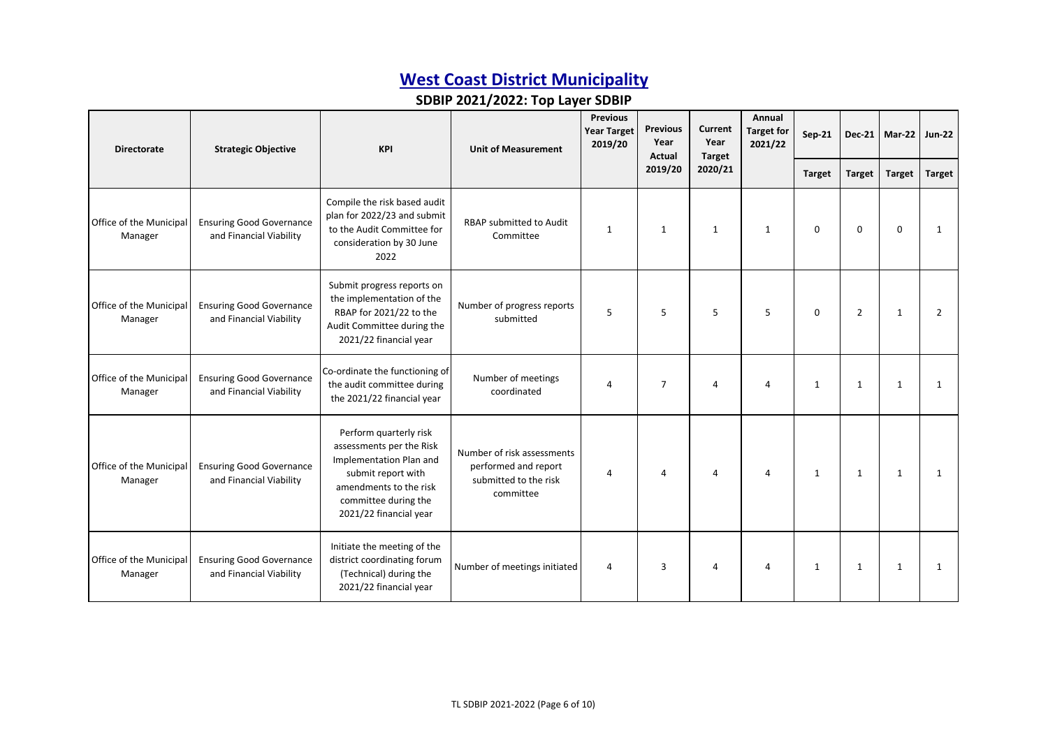| <b>Directorate</b>                 | <b>Strategic Objective</b>                                 | <b>KPI</b>                                                                                                                                                                      | <b>Unit of Measurement</b>                                                               | <b>Year Target</b><br>2019/20 |                |         | <b>Previous</b><br>Year<br>Actual |               | <b>Previous</b> |               | Current<br><b>Target for</b><br>Year<br>Target |  | <b>Sep-21</b> |  | Dec-21 $Mar-22$ | <b>Jun-22</b> |
|------------------------------------|------------------------------------------------------------|---------------------------------------------------------------------------------------------------------------------------------------------------------------------------------|------------------------------------------------------------------------------------------|-------------------------------|----------------|---------|-----------------------------------|---------------|-----------------|---------------|------------------------------------------------|--|---------------|--|-----------------|---------------|
|                                    |                                                            |                                                                                                                                                                                 |                                                                                          |                               | 2019/20        | 2020/21 |                                   | <b>Target</b> | <b>Target</b>   | <b>Target</b> | Target                                         |  |               |  |                 |               |
| Office of the Municipal<br>Manager | <b>Ensuring Good Governance</b><br>and Financial Viability | Compile the risk based audit<br>plan for 2022/23 and submit<br>to the Audit Committee for<br>consideration by 30 June<br>2022                                                   | RBAP submitted to Audit<br>Committee                                                     | $\mathbf{1}$                  | $\mathbf{1}$   | 1       | 1                                 | $\mathbf 0$   | $\mathbf 0$     | $\Omega$      | 1                                              |  |               |  |                 |               |
| Office of the Municipal<br>Manager | <b>Ensuring Good Governance</b><br>and Financial Viability | Submit progress reports on<br>the implementation of the<br>RBAP for 2021/22 to the<br>Audit Committee during the<br>2021/22 financial year                                      | Number of progress reports<br>submitted                                                  | 5                             | 5              | 5       | 5                                 | $\mathbf 0$   | $\overline{2}$  | 1             | $\overline{2}$                                 |  |               |  |                 |               |
| Office of the Municipal<br>Manager | <b>Ensuring Good Governance</b><br>and Financial Viability | Co-ordinate the functioning of<br>the audit committee during<br>the 2021/22 financial year                                                                                      | Number of meetings<br>coordinated                                                        | 4                             | $\overline{7}$ | 4       | $\overline{4}$                    | 1             | $\mathbf{1}$    | 1             | 1                                              |  |               |  |                 |               |
| Office of the Municipal<br>Manager | <b>Ensuring Good Governance</b><br>and Financial Viability | Perform quarterly risk<br>assessments per the Risk<br>Implementation Plan and<br>submit report with<br>amendments to the risk<br>committee during the<br>2021/22 financial year | Number of risk assessments<br>performed and report<br>submitted to the risk<br>committee | 4                             | 4              | 4       | Δ                                 | $\mathbf{1}$  | $\mathbf{1}$    | $\mathbf{1}$  | 1                                              |  |               |  |                 |               |
| Office of the Municipal<br>Manager | <b>Ensuring Good Governance</b><br>and Financial Viability | Initiate the meeting of the<br>district coordinating forum<br>(Technical) during the<br>2021/22 financial year                                                                  | Number of meetings initiated                                                             | 4                             | 3              | 4       | Δ                                 | $\mathbf{1}$  | $\mathbf{1}$    | $\mathbf{1}$  | 1                                              |  |               |  |                 |               |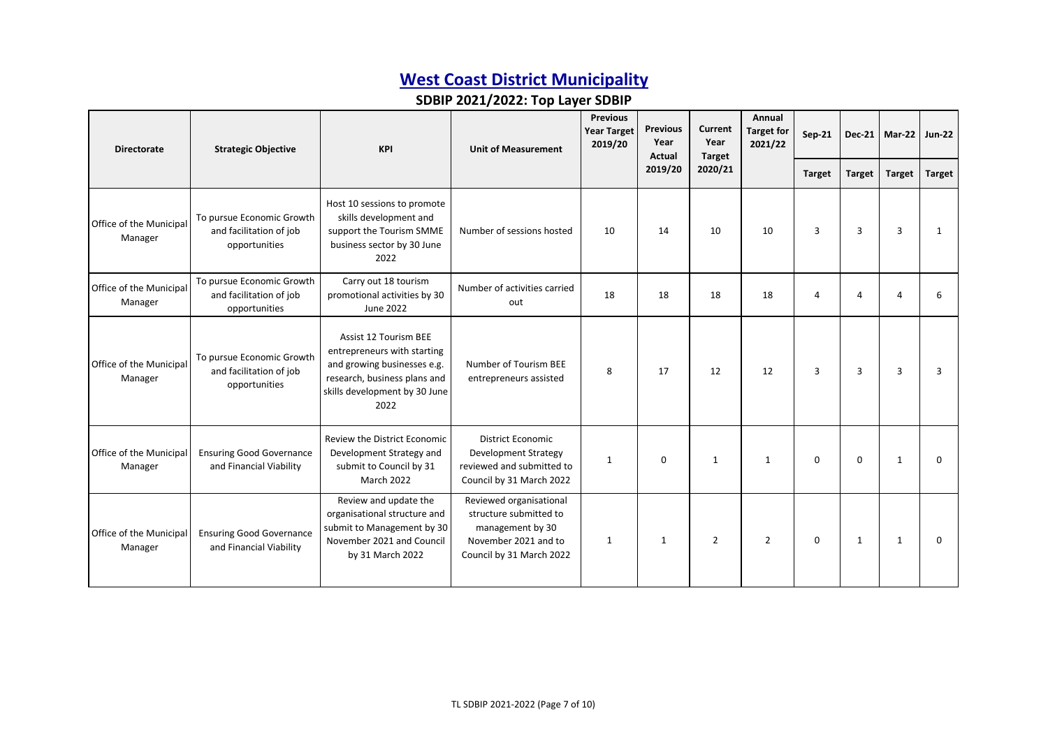| <b>Directorate</b>                 | <b>Strategic Objective</b>                                            | <b>KPI</b>                                                                                                                                                          | <b>Unit of Measurement</b>                                                                                                | <b>Previous</b><br><b>Previous</b><br><b>Year Target</b><br>Year<br>2019/20<br>Actual |              |                | Current<br>Year<br>Target | Annual<br><b>Target for</b><br>2021/22 | <b>Sep-21</b> |                | Dec-21   Mar-22   Jun-22 |  |
|------------------------------------|-----------------------------------------------------------------------|---------------------------------------------------------------------------------------------------------------------------------------------------------------------|---------------------------------------------------------------------------------------------------------------------------|---------------------------------------------------------------------------------------|--------------|----------------|---------------------------|----------------------------------------|---------------|----------------|--------------------------|--|
|                                    |                                                                       |                                                                                                                                                                     |                                                                                                                           |                                                                                       | 2019/20      | 2020/21        |                           | <b>Target</b>                          | <b>Target</b> | <b>Target</b>  | <b>Target</b>            |  |
| Office of the Municipal<br>Manager | To pursue Economic Growth<br>and facilitation of job<br>opportunities | Host 10 sessions to promote<br>skills development and<br>support the Tourism SMME<br>business sector by 30 June<br>2022                                             | Number of sessions hosted                                                                                                 | 10                                                                                    | 14           | 10             | 10                        | 3                                      | 3             | $\overline{3}$ | 1                        |  |
| Office of the Municipal<br>Manager | To pursue Economic Growth<br>and facilitation of job<br>opportunities | Carry out 18 tourism<br>promotional activities by 30<br>June 2022                                                                                                   | Number of activities carried<br>out                                                                                       | 18                                                                                    | 18           | 18             | 18                        | 4                                      | 4             | $\Delta$       |                          |  |
| Office of the Municipal<br>Manager | To pursue Economic Growth<br>and facilitation of job<br>opportunities | <b>Assist 12 Tourism BEE</b><br>entrepreneurs with starting<br>and growing businesses e.g.<br>research, business plans and<br>skills development by 30 June<br>2022 | Number of Tourism BEE<br>entrepreneurs assisted                                                                           | 8                                                                                     | 17           | 12             | 12                        | 3                                      | 3             | $\overline{3}$ | 3                        |  |
| Office of the Municipal<br>Manager | <b>Ensuring Good Governance</b><br>and Financial Viability            | Review the District Economic<br>Development Strategy and<br>submit to Council by 31<br>March 2022                                                                   | <b>District Economic</b><br><b>Development Strategy</b><br>reviewed and submitted to<br>Council by 31 March 2022          | $\mathbf{1}$                                                                          | $\mathbf{0}$ | 1              | $\mathbf{1}$              | $\Omega$                               | $\Omega$      | $\mathbf{1}$   | $\Omega$                 |  |
| Office of the Municipal<br>Manager | <b>Ensuring Good Governance</b><br>and Financial Viability            | Review and update the<br>organisational structure and<br>submit to Management by 30<br>November 2021 and Council<br>by 31 March 2022                                | Reviewed organisational<br>structure submitted to<br>management by 30<br>November 2021 and to<br>Council by 31 March 2022 | 1                                                                                     | 1            | $\overline{2}$ | $\overline{2}$            | $\mathbf 0$                            | 1             | $\mathbf{1}$   | $\Omega$                 |  |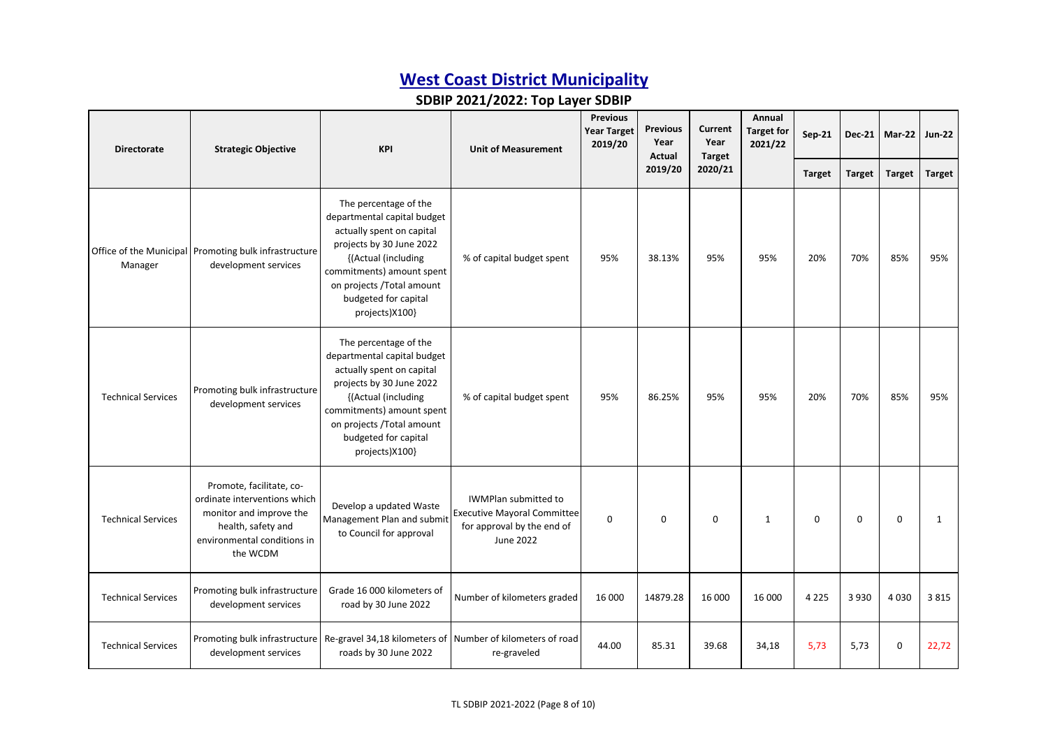| <b>Directorate</b>        | <b>Strategic Objective</b>                                                                                                                           | <b>KPI</b>                                                                                                                                                                                                                               | <b>Unit of Measurement</b>                                                                                   |             | <b>Previous</b><br><b>Previous</b><br><b>Year Target</b><br>Year<br>2019/20<br>Actual |             | Current<br>Year<br><b>Target</b> |               | Annual<br><b>Target for</b><br>2021/22 | <b>Sep-21</b> | <b>Dec-21</b> | Mar-22 | <b>Jun-22</b> |
|---------------------------|------------------------------------------------------------------------------------------------------------------------------------------------------|------------------------------------------------------------------------------------------------------------------------------------------------------------------------------------------------------------------------------------------|--------------------------------------------------------------------------------------------------------------|-------------|---------------------------------------------------------------------------------------|-------------|----------------------------------|---------------|----------------------------------------|---------------|---------------|--------|---------------|
|                           |                                                                                                                                                      |                                                                                                                                                                                                                                          |                                                                                                              |             | 2019/20                                                                               | 2020/21     |                                  | <b>Target</b> | <b>Target</b>                          | <b>Target</b> | <b>Target</b> |        |               |
| Manager                   | Office of the Municipal Promoting bulk infrastructure<br>development services                                                                        | The percentage of the<br>departmental capital budget<br>actually spent on capital<br>projects by 30 June 2022<br>{(Actual (including<br>commitments) amount spent<br>on projects /Total amount<br>budgeted for capital<br>projects)X100} | % of capital budget spent                                                                                    | 95%         | 38.13%                                                                                | 95%         | 95%                              | 20%           | 70%                                    | 85%           | 95%           |        |               |
| <b>Technical Services</b> | Promoting bulk infrastructure<br>development services                                                                                                | The percentage of the<br>departmental capital budget<br>actually spent on capital<br>projects by 30 June 2022<br>{(Actual (including<br>commitments) amount spent<br>on projects /Total amount<br>budgeted for capital<br>projects)X100} | % of capital budget spent                                                                                    | 95%         | 86.25%                                                                                | 95%         | 95%                              | 20%           | 70%                                    | 85%           | 95%           |        |               |
| <b>Technical Services</b> | Promote, facilitate, co-<br>ordinate interventions which<br>monitor and improve the<br>health, safety and<br>environmental conditions in<br>the WCDM | Develop a updated Waste<br>Management Plan and submit<br>to Council for approval                                                                                                                                                         | <b>IWMPlan submitted to</b><br><b>Executive Mayoral Committee</b><br>for approval by the end of<br>June 2022 | $\mathbf 0$ | $\mathbf 0$                                                                           | $\mathbf 0$ | 1                                | $\Omega$      | 0                                      | $\Omega$      | 1             |        |               |
| <b>Technical Services</b> | Promoting bulk infrastructure<br>development services                                                                                                | Grade 16 000 kilometers of<br>road by 30 June 2022                                                                                                                                                                                       | Number of kilometers graded                                                                                  | 16 000      | 14879.28                                                                              | 16 000      | 16 000                           | 4 2 2 5       | 3 9 3 0                                | 4 0 3 0       | 3815          |        |               |
| <b>Technical Services</b> | Promoting bulk infrastructure<br>development services                                                                                                | Re-gravel 34,18 kilometers of Number of kilometers of road<br>roads by 30 June 2022                                                                                                                                                      | re-graveled                                                                                                  | 44.00       | 85.31                                                                                 | 39.68       | 34,18                            | 5,73          | 5,73                                   | 0             | 22,72         |        |               |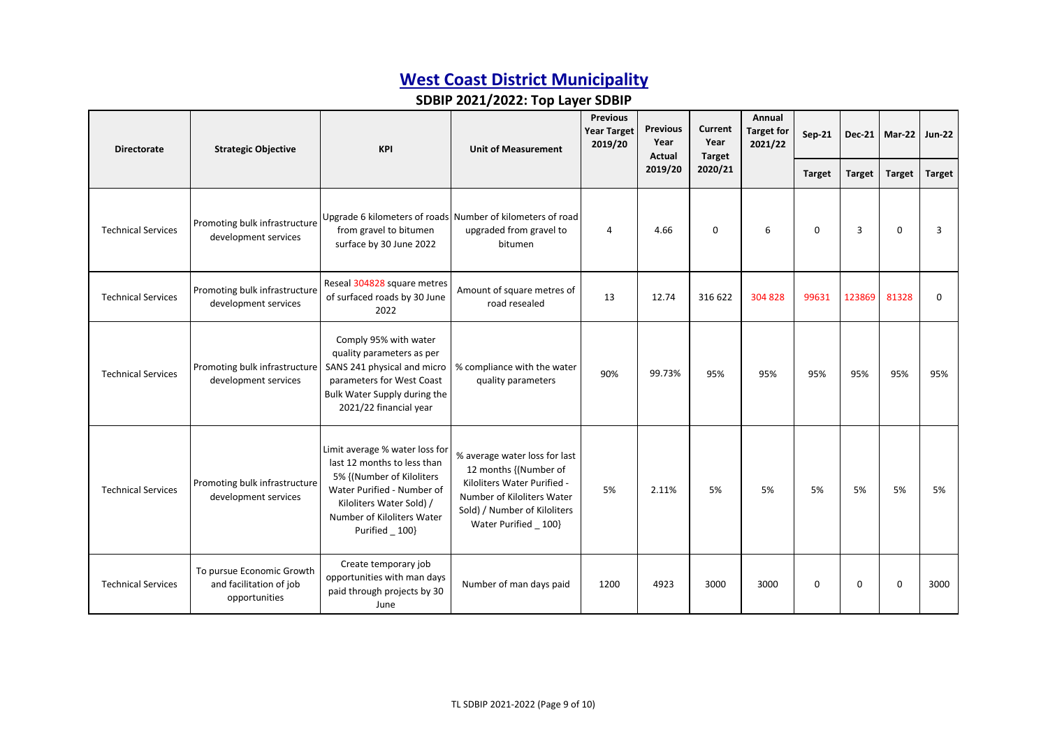| <b>Directorate</b>        | <b>Strategic Objective</b>                                            | <b>KPI</b>                                                                                                                                                                                            | <b>Unit of Measurement</b>                                                                                                                                                   | <b>Previous</b><br><b>Year Target</b><br>2019/20 | <b>Previous</b><br>Year<br>Actual | Current<br>Year<br><b>Target</b> | Annual<br><b>Target for</b><br>2021/22 | Sep-21        |               | Dec-21   Mar-22 | <b>Jun-22</b> |
|---------------------------|-----------------------------------------------------------------------|-------------------------------------------------------------------------------------------------------------------------------------------------------------------------------------------------------|------------------------------------------------------------------------------------------------------------------------------------------------------------------------------|--------------------------------------------------|-----------------------------------|----------------------------------|----------------------------------------|---------------|---------------|-----------------|---------------|
|                           |                                                                       |                                                                                                                                                                                                       |                                                                                                                                                                              |                                                  | 2019/20                           | 2020/21                          |                                        | <b>Target</b> | <b>Target</b> | <b>Target</b>   | <b>Target</b> |
| <b>Technical Services</b> | Promoting bulk infrastructure<br>development services                 | from gravel to bitumen<br>surface by 30 June 2022                                                                                                                                                     | Upgrade 6 kilometers of roads Number of kilometers of road<br>upgraded from gravel to<br>bitumen                                                                             | 4                                                | 4.66                              | $\mathbf 0$                      | 6                                      | $\mathbf 0$   | 3             | $\mathbf 0$     | 3             |
| <b>Technical Services</b> | Promoting bulk infrastructure<br>development services                 | Reseal 304828 square metres<br>of surfaced roads by 30 June<br>2022                                                                                                                                   | Amount of square metres of<br>road resealed                                                                                                                                  | 13                                               | 12.74                             | 316 622                          | 304 828                                | 99631         | 123869        | 81328           | 0             |
| <b>Technical Services</b> | Promoting bulk infrastructure<br>development services                 | Comply 95% with water<br>quality parameters as per<br>SANS 241 physical and micro<br>parameters for West Coast<br>Bulk Water Supply during the<br>2021/22 financial year                              | % compliance with the water<br>quality parameters                                                                                                                            | 90%                                              | 99.73%                            | 95%                              | 95%                                    | 95%           | 95%           | 95%             | 95%           |
| <b>Technical Services</b> | Promoting bulk infrastructure<br>development services                 | Limit average % water loss for<br>last 12 months to less than<br>5% {(Number of Kiloliters<br>Water Purified - Number of<br>Kiloliters Water Sold) /<br>Number of Kiloliters Water<br>Purified _ 100} | % average water loss for last<br>12 months {(Number of<br>Kiloliters Water Purified -<br>Number of Kiloliters Water<br>Sold) / Number of Kiloliters<br>Water Purified _ 100} | 5%                                               | 2.11%                             | 5%                               | 5%                                     | 5%            | 5%            | 5%              | 5%            |
| <b>Technical Services</b> | To pursue Economic Growth<br>and facilitation of job<br>opportunities | Create temporary job<br>opportunities with man days<br>paid through projects by 30<br>June                                                                                                            | Number of man days paid                                                                                                                                                      | 1200                                             | 4923                              | 3000                             | 3000                                   | $\Omega$      | 0             | $\Omega$        | 3000          |